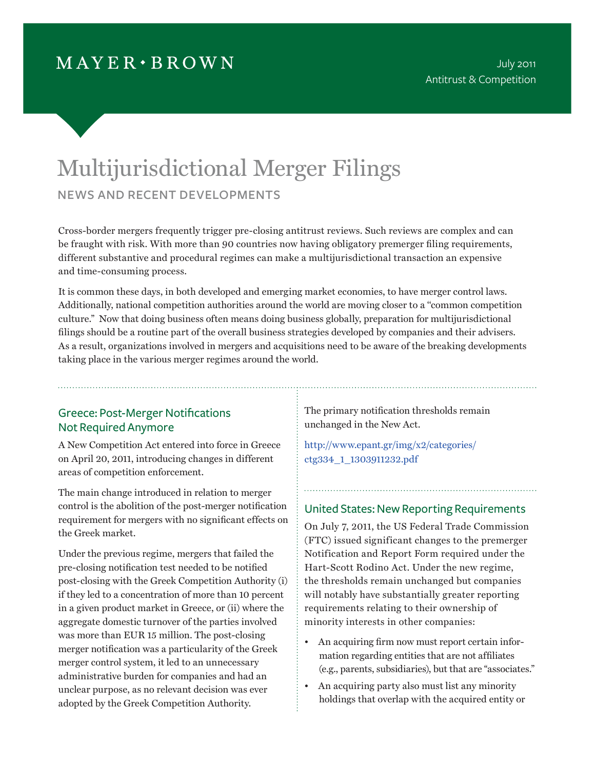# $MAYER \cdot BROWN$

# Multijurisdictional Merger Filings news and recent developments

Cross-border mergers frequently trigger pre-closing antitrust reviews. Such reviews are complex and can be fraught with risk. With more than 90 countries now having obligatory premerger filing requirements, different substantive and procedural regimes can make a multijurisdictional transaction an expensive and time-consuming process.

It is common these days, in both developed and emerging market economies, to have merger control laws. Additionally, national competition authorities around the world are moving closer to a ''common competition culture." Now that doing business often means doing business globally, preparation for multijurisdictional filings should be a routine part of the overall business strategies developed by companies and their advisers. As a result, organizations involved in mergers and acquisitions need to be aware of the breaking developments taking place in the various merger regimes around the world.

# Greece: Post-Merger Notifications Not Required Anymore

A New Competition Act entered into force in Greece on April 20, 2011, introducing changes in different areas of competition enforcement.

The main change introduced in relation to merger control is the abolition of the post-merger notification requirement for mergers with no significant effects on the Greek market.

Under the previous regime, mergers that failed the pre-closing notification test needed to be notified post-closing with the Greek Competition Authority (i) if they led to a concentration of more than 10 percent in a given product market in Greece, or (ii) where the aggregate domestic turnover of the parties involved was more than EUR 15 million. The post-closing merger notification was a particularity of the Greek merger control system, it led to an unnecessary administrative burden for companies and had an unclear purpose, as no relevant decision was ever adopted by the Greek Competition Authority.

The primary notification thresholds remain unchanged in the New Act.

[http://www.epant.gr/img/x2/categories/](http://www.epant.gr/img/x2/categories/ctg334_1_1303911232.pdf) [ctg334\\_1\\_1303911232.pdf](http://www.epant.gr/img/x2/categories/ctg334_1_1303911232.pdf)

# United States: New Reporting Requirements

On July 7, 2011, the US Federal Trade Commission (FTC) issued significant changes to the premerger Notification and Report Form required under the Hart-Scott Rodino Act. Under the new regime, the thresholds remain unchanged but companies will notably have substantially greater reporting requirements relating to their ownership of minority interests in other companies:

- An acquiring firm now must report certain information regarding entities that are not affiliates (e.g., parents, subsidiaries), but that are "associates."
- An acquiring party also must list any minority holdings that overlap with the acquired entity or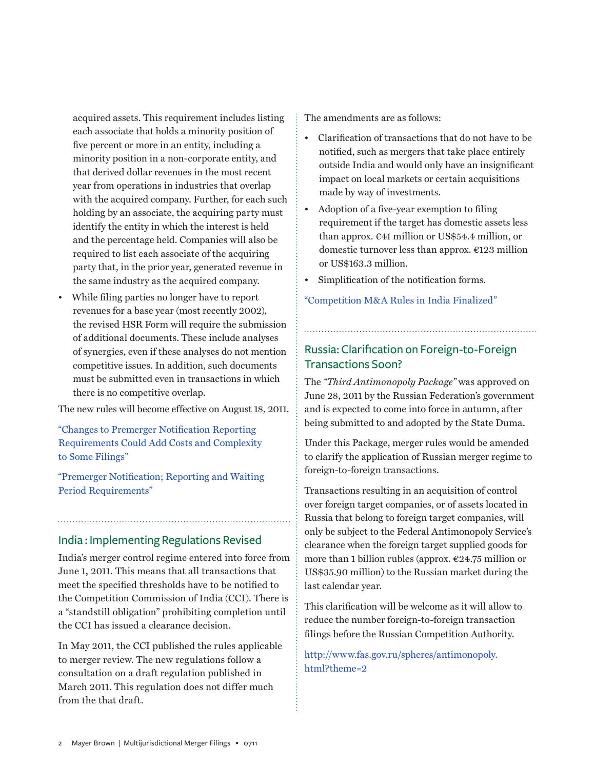acquired assets. This requirement includes listing each associate that holds a minority position of five percent or more in an entity, including a minority position in a non-corporate entity, and that derived dollar revenues in the most recent year from operations in industries that overlap with the acquired company. Further, for each such holding by an associate, the acquiring party must identify the entity in which the interest is held and the percentage held. Companies will also be required to list each associate of the acquiring party that, in the prior year, generated revenue in the same industry as the acquired company.

• While filing parties no longer have to report revenues for a base year (most recently 2002), the revised HSR Form will require the submission of additional documents. These include analyses of synergies, even if these analyses do not mention competitive issues. In addition, such documents must be submitted even in transactions in which there is no competitive overlap.

The new rules will become effective on August 18, 2011.

"[Changes to Premerger Notification Reporting](http://www.mayerbrown.com/antitrust/article.asp?id=11265&nid=112
)  [Requirements Could Add Costs and Complexity](http://www.mayerbrown.com/antitrust/article.asp?id=11265&nid=112
)  [to Some Filings](http://www.mayerbrown.com/antitrust/article.asp?id=11265&nid=112
)"

"[Premerger Notification; Reporting and Waiting](http://www.ftc.gov/os/fedreg/2011/07/110707hsrfrn.pdf)  [Period Requirements](http://www.ftc.gov/os/fedreg/2011/07/110707hsrfrn.pdf)"

## India : Implementing Regulations Revised

India's merger control regime entered into force from June 1, 2011. This means that all transactions that meet the specified thresholds have to be notified to the Competition Commission of India (CCI). There is a "standstill obligation" prohibiting completion until the CCI has issued a clearance decision.

In May 2011, the CCI published the rules applicable to merger review. The new regulations follow a consultation on a draft regulation published in March 2011. This regulation does not differ much from the that draft.

The amendments are as follows:

- Clarification of transactions that do not have to be notified, such as mergers that take place entirely outside India and would only have an insignificant impact on local markets or certain acquisitions made by way of investments.
- Adoption of a five-year exemption to filing requirement if the target has domestic assets less than approx. €41 million or US\$54.4 million, or domestic turnover less than approx. €123 million or US\$163.3 million.
- Simplification of the notification forms.

["Competition M&A Rules in India Finalized"](http://www.mayerbrown.com/publications/article.asp?id=10962&nid=6)

# Russia: Clarification on Foreign-to-Foreign Transactions Soon?

The *"Third Antimonopoly Package"* was approved on June 28, 2011 by the Russian Federation's government and is expected to come into force in autumn, after being submitted to and adopted by the State Duma.

Under this Package, merger rules would be amended to clarify the application of Russian merger regime to foreign-to-foreign transactions.

Transactions resulting in an acquisition of control over foreign target companies, or of assets located in Russia that belong to foreign target companies, will only be subject to the Federal Antimonopoly Service's clearance when the foreign target supplied goods for more than 1 billion rubles (approx.  $\epsilon$ 24.75 million or US\$35.90 million) to the Russian market during the last calendar year.

This clarification will be welcome as it will allow to reduce the number foreign-to-foreign transaction filings before the Russian Competition Authority.

http://www.fas.gov.ru/spheres/antimonopoly. html?theme=2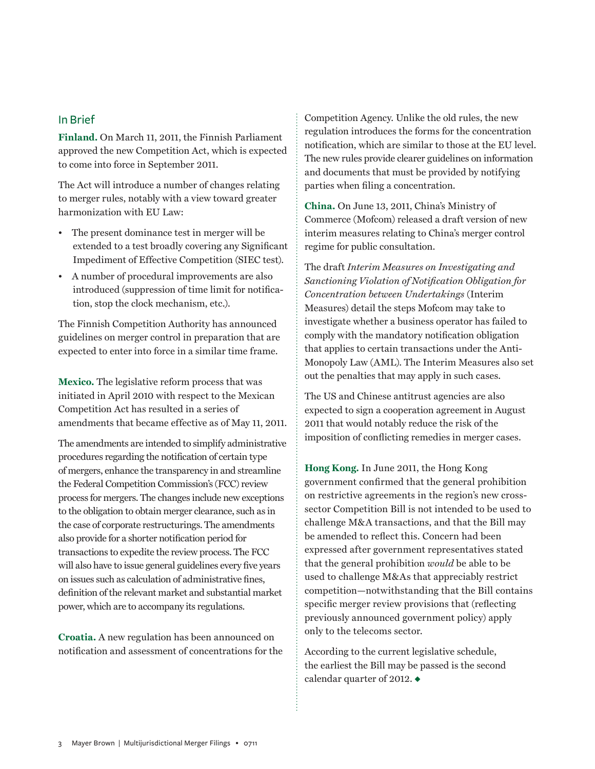# In Brief

**Finland.** On March 11, 2011, the Finnish Parliament approved the new Competition Act, which is expected to come into force in September 2011.

The Act will introduce a number of changes relating to merger rules, notably with a view toward greater harmonization with EU Law:

- The present dominance test in merger will be extended to a test broadly covering any Significant Impediment of Effective Competition (SIEC test).
- A number of procedural improvements are also introduced (suppression of time limit for notification, stop the clock mechanism, etc.).

The Finnish Competition Authority has announced guidelines on merger control in preparation that are expected to enter into force in a similar time frame.

**Mexico.** The legislative reform process that was initiated in April 2010 with respect to the Mexican Competition Act has resulted in a series of amendments that became effective as of May 11, 2011.

The amendments are intended to simplify administrative procedures regarding the notification of certain type of mergers, enhance the transparency in and streamline the Federal Competition Commission's (FCC) review process for mergers. The changes include new exceptions to the obligation to obtain merger clearance, such as in the case of corporate restructurings. The amendments also provide for a shorter notification period for transactions to expedite the review process. The FCC will also have to issue general guidelines every five years on issues such as calculation of administrative fines, definition of the relevant market and substantial market power, which are to accompany its regulations.

**Croatia.** A new regulation has been announced on notification and assessment of concentrations for the Competition Agency. Unlike the old rules, the new regulation introduces the forms for the concentration notification, which are similar to those at the EU level. The new rules provide clearer guidelines on information and documents that must be provided by notifying parties when filing a concentration.

**China.** On June 13, 2011, China's Ministry of Commerce (Mofcom) released a draft version of new interim measures relating to China's merger control regime for public consultation.

The draft *Interim Measures on Investigating and Sanctioning Violation of Notification Obligation for Concentration between Undertakings* (Interim Measures) detail the steps Mofcom may take to investigate whether a business operator has failed to comply with the mandatory notification obligation that applies to certain transactions under the Anti-Monopoly Law (AML). The Interim Measures also set out the penalties that may apply in such cases.

The US and Chinese antitrust agencies are also expected to sign a cooperation agreement in August 2011 that would notably reduce the risk of the imposition of conflicting remedies in merger cases.

**Hong Kong.** In June 2011, the Hong Kong government confirmed that the general prohibition on restrictive agreements in the region's new crosssector Competition Bill is not intended to be used to challenge M&A transactions, and that the Bill may be amended to reflect this. Concern had been expressed after government representatives stated that the general prohibition *would* be able to be used to challenge M&As that appreciably restrict competition—notwithstanding that the Bill contains specific merger review provisions that (reflecting previously announced government policy) apply only to the telecoms sector.

According to the current legislative schedule, the earliest the Bill may be passed is the second calendar quarter of 2012.  $\triangleleft$